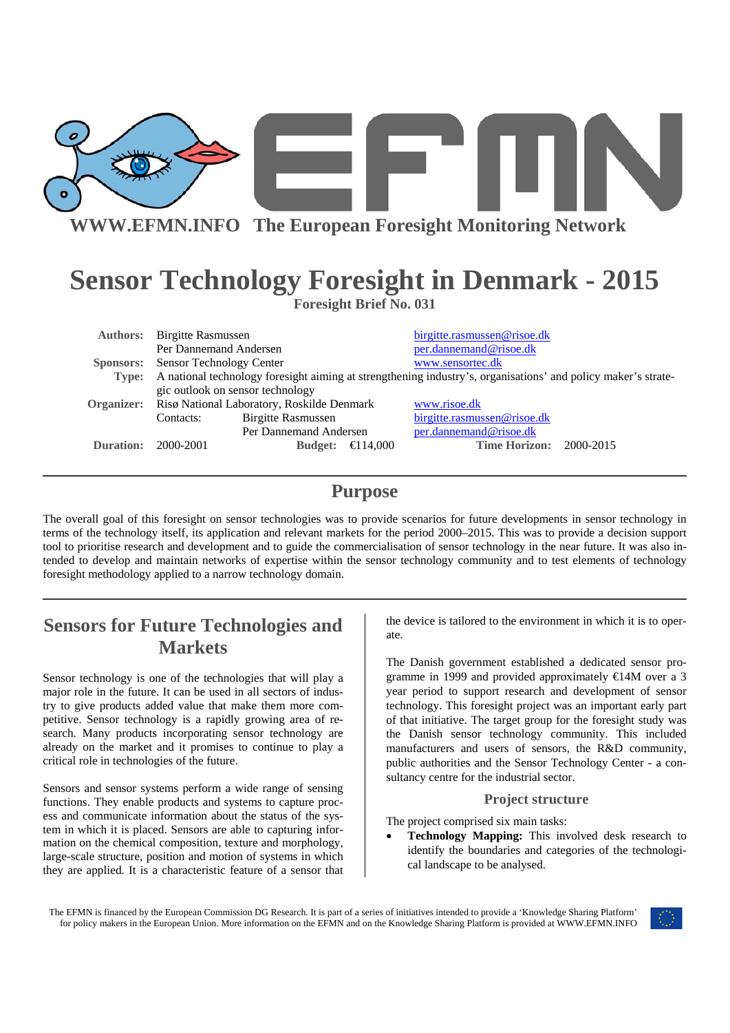

**WWW.EFMN.INFO The European Foresight Monitoring Network**

# **Sensor Technology Foresight in Denmark - 2015**

**Foresight Brief No. 031** 

| <b>Authors:</b> Birgitte Rasmussen                                                                                  |                           | birgitte.rasmussen@risoe.dk |                                              |  |
|---------------------------------------------------------------------------------------------------------------------|---------------------------|-----------------------------|----------------------------------------------|--|
| Per Dannemand Andersen                                                                                              |                           | per.dannemand@risoe.dk      |                                              |  |
| <b>Sponsors:</b> Sensor Technology Center                                                                           |                           |                             | www.sensortec.dk                             |  |
| Type: A national technology foresight aiming at strengthening industry's, organisations' and policy maker's strate- |                           |                             |                                              |  |
| gic outlook on sensor technology                                                                                    |                           |                             |                                              |  |
| <b>Organizer:</b> Risø National Laboratory, Roskilde Denmark                                                        |                           |                             | www.risoe.dk                                 |  |
| Contacts:                                                                                                           | <b>Birgitte Rasmussen</b> |                             | birgitte.rasmussen@risoe.dk                  |  |
|                                                                                                                     |                           |                             | per.dannemand@risoe.dk                       |  |
| 2000-2001                                                                                                           | <b>Budget:</b>            |                             | <b>Time Horizon: 2000-2015</b>               |  |
|                                                                                                                     |                           |                             | Per Dannemand Andersen<br>$\bigoplus$ 14.000 |  |

### **Purpose**

The overall goal of this foresight on sensor technologies was to provide scenarios for future developments in sensor technology in terms of the technology itself, its application and relevant markets for the period 2000–2015. This was to provide a decision support tool to prioritise research and development and to guide the commercialisation of sensor technology in the near future. It was also intended to develop and maintain networks of expertise within the sensor technology community and to test elements of technology foresight methodology applied to a narrow technology domain.

## **Sensors for Future Technologies and Markets**

Sensor technology is one of the technologies that will play a major role in the future. It can be used in all sectors of industry to give products added value that make them more competitive. Sensor technology is a rapidly growing area of research. Many products incorporating sensor technology are already on the market and it promises to continue to play a critical role in technologies of the future.

Sensors and sensor systems perform a wide range of sensing functions. They enable products and systems to capture process and communicate information about the status of the system in which it is placed. Sensors are able to capturing information on the chemical composition, texture and morphology, large-scale structure, position and motion of systems in which they are applied. It is a characteristic feature of a sensor that

the device is tailored to the environment in which it is to operate.

The Danish government established a dedicated sensor programme in 1999 and provided approximately €14M over a 3 year period to support research and development of sensor technology. This foresight project was an important early part of that initiative. The target group for the foresight study was the Danish sensor technology community. This included manufacturers and users of sensors, the R&D community, public authorities and the Sensor Technology Center - a consultancy centre for the industrial sector.

#### **Project structure**

The project comprised six main tasks:

• **Technology Mapping:** This involved desk research to identify the boundaries and categories of the technological landscape to be analysed.

The EFMN is financed by the European Commission DG Research. It is part of a series of initiatives intended to provide a 'Knowledge Sharing Platform' for policy makers in the European Union. More information on the EFMN and on the Knowledge Sharing Platform is provided at WWW.EFMN.INFO

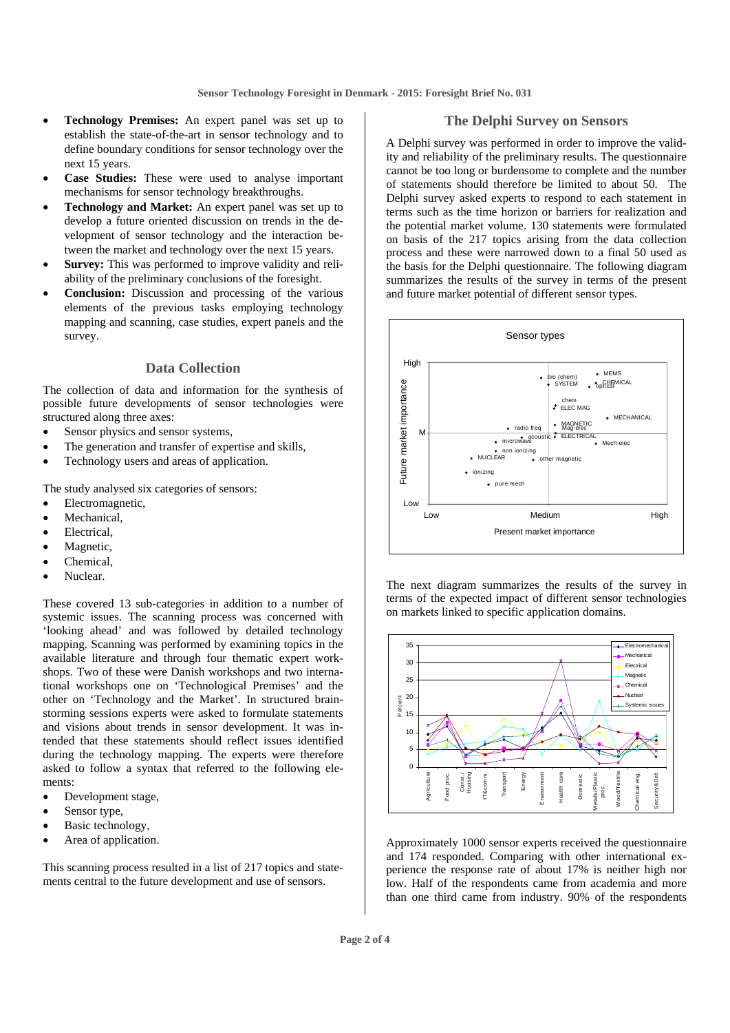- **Technology Premises:** An expert panel was set up to establish the state-of-the-art in sensor technology and to define boundary conditions for sensor technology over the next 15 years.
- **Case Studies:** These were used to analyse important mechanisms for sensor technology breakthroughs.
- **Technology and Market:** An expert panel was set up to develop a future oriented discussion on trends in the development of sensor technology and the interaction between the market and technology over the next 15 years.
- **Survey:** This was performed to improve validity and reliability of the preliminary conclusions of the foresight.
- **Conclusion:** Discussion and processing of the various elements of the previous tasks employing technology mapping and scanning, case studies, expert panels and the survey.

#### **Data Collection**

The collection of data and information for the synthesis of possible future developments of sensor technologies were structured along three axes:

- Sensor physics and sensor systems,
- The generation and transfer of expertise and skills,
- Technology users and areas of application.

The study analysed six categories of sensors:

- Electromagnetic,
- Mechanical.
- Electrical.
- Magnetic,
- Chemical.
- Nuclear.

These covered 13 sub-categories in addition to a number of systemic issues. The scanning process was concerned with 'looking ahead' and was followed by detailed technology mapping. Scanning was performed by examining topics in the available literature and through four thematic expert workshops. Two of these were Danish workshops and two international workshops one on 'Technological Premises' and the other on 'Technology and the Market'. In structured brainstorming sessions experts were asked to formulate statements and visions about trends in sensor development. It was intended that these statements should reflect issues identified during the technology mapping. The experts were therefore asked to follow a syntax that referred to the following elements:

- Development stage,
- Sensor type,
- Basic technology,
- Area of application.

This scanning process resulted in a list of 217 topics and statements central to the future development and use of sensors.

#### **The Delphi Survey on Sensors**

A Delphi survey was performed in order to improve the validity and reliability of the preliminary results. The questionnaire cannot be too long or burdensome to complete and the number of statements should therefore be limited to about 50. The Delphi survey asked experts to respond to each statement in terms such as the time horizon or barriers for realization and the potential market volume. 130 statements were formulated on basis of the 217 topics arising from the data collection process and these were narrowed down to a final 50 used as the basis for the Delphi questionnaire. The following diagram summarizes the results of the survey in terms of the present and future market potential of different sensor types.



The next diagram summarizes the results of the survey in terms of the expected impact of different sensor technologies on markets linked to specific application domains.



Approximately 1000 sensor experts received the questionnaire and 174 responded. Comparing with other international experience the response rate of about 17% is neither high nor low. Half of the respondents came from academia and more than one third came from industry. 90% of the respondents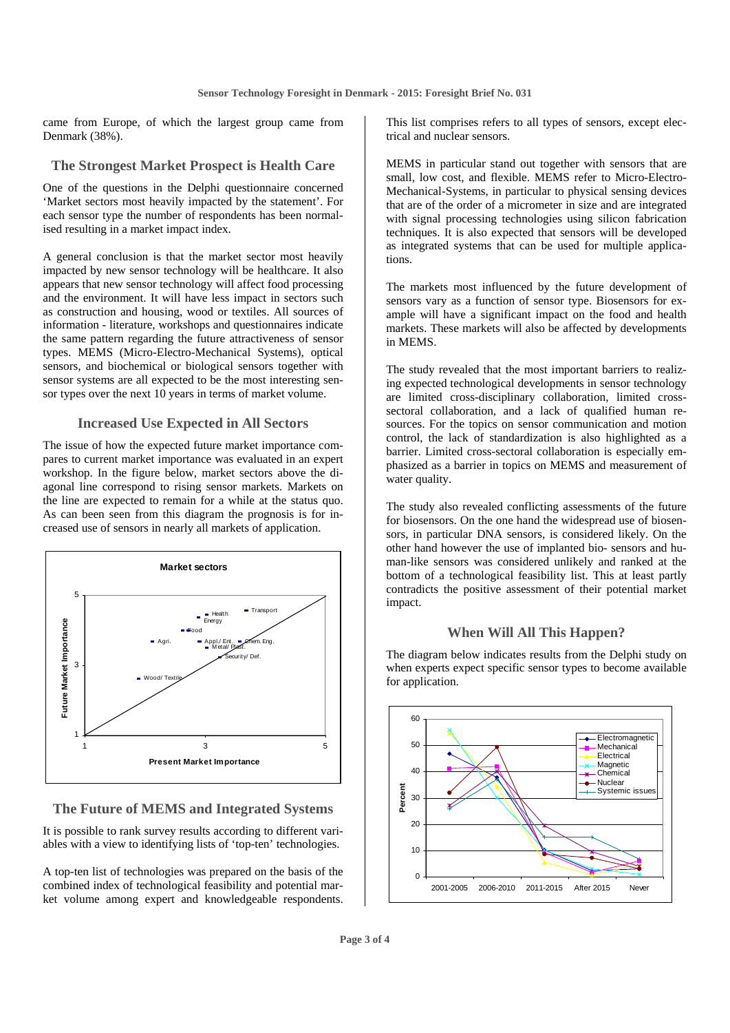came from Europe, of which the largest group came from Denmark (38%).

#### **The Strongest Market Prospect is Health Care**

One of the questions in the Delphi questionnaire concerned 'Market sectors most heavily impacted by the statement'. For each sensor type the number of respondents has been normalised resulting in a market impact index.

A general conclusion is that the market sector most heavily impacted by new sensor technology will be healthcare. It also appears that new sensor technology will affect food processing and the environment. It will have less impact in sectors such as construction and housing, wood or textiles. All sources of information - literature, workshops and questionnaires indicate the same pattern regarding the future attractiveness of sensor types. MEMS (Micro-Electro-Mechanical Systems), optical sensors, and biochemical or biological sensors together with sensor systems are all expected to be the most interesting sensor types over the next 10 years in terms of market volume.

#### **Increased Use Expected in All Sectors**

The issue of how the expected future market importance compares to current market importance was evaluated in an expert workshop. In the figure below, market sectors above the diagonal line correspond to rising sensor markets. Markets on the line are expected to remain for a while at the status quo. As can been seen from this diagram the prognosis is for increased use of sensors in nearly all markets of application.



#### **The Future of MEMS and Integrated Systems**

It is possible to rank survey results according to different variables with a view to identifying lists of 'top-ten' technologies.

A top-ten list of technologies was prepared on the basis of the combined index of technological feasibility and potential market volume among expert and knowledgeable respondents. This list comprises refers to all types of sensors, except electrical and nuclear sensors.

MEMS in particular stand out together with sensors that are small, low cost, and flexible. MEMS refer to Micro-Electro-Mechanical-Systems, in particular to physical sensing devices that are of the order of a micrometer in size and are integrated with signal processing technologies using silicon fabrication techniques. It is also expected that sensors will be developed as integrated systems that can be used for multiple applications.

The markets most influenced by the future development of sensors vary as a function of sensor type. Biosensors for example will have a significant impact on the food and health markets. These markets will also be affected by developments in MEMS.

The study revealed that the most important barriers to realizing expected technological developments in sensor technology are limited cross-disciplinary collaboration, limited crosssectoral collaboration, and a lack of qualified human resources. For the topics on sensor communication and motion control, the lack of standardization is also highlighted as a barrier. Limited cross-sectoral collaboration is especially emphasized as a barrier in topics on MEMS and measurement of water quality.

The study also revealed conflicting assessments of the future for biosensors. On the one hand the widespread use of biosensors, in particular DNA sensors, is considered likely. On the other hand however the use of implanted bio- sensors and human-like sensors was considered unlikely and ranked at the bottom of a technological feasibility list. This at least partly contradicts the positive assessment of their potential market impact.

#### **When Will All This Happen?**

The diagram below indicates results from the Delphi study on when experts expect specific sensor types to become available for application.